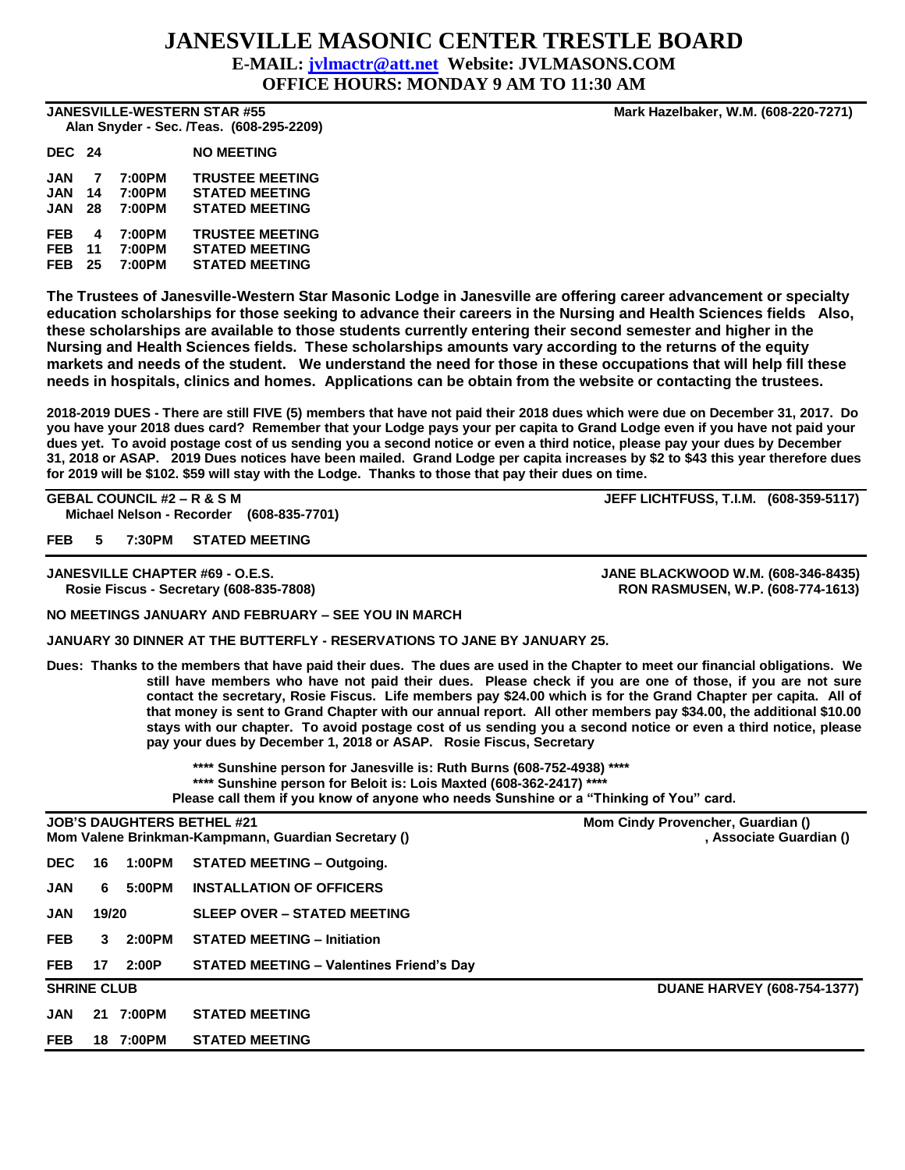## **JANESVILLE MASONIC CENTER TRESTLE BOARD**

**E-MAIL: [jvlmactr@att.net](mailto:jvlmactr@att.net) Website: JVLMASONS.COM**

**OFFICE HOURS: MONDAY 9 AM TO 11:30 AM**

 **Alan Snyder - Sec. /Teas. (608-295-2209)** 

| DEC 24     |    |        | <b>NO MEETING</b>      |
|------------|----|--------|------------------------|
| <b>JAN</b> | 7  | 7:00PM | <b>TRUSTEE MEETING</b> |
| <b>JAN</b> | 14 | 7:00PM | <b>STATED MEETING</b>  |
| JAN        | 28 | 7:00PM | <b>STATED MEETING</b>  |
| <b>FEB</b> | 4  | 7:00PM | <b>TRUSTEE MEETING</b> |
| <b>FEB</b> | 11 | 7:00PM | <b>STATED MEETING</b>  |
| <b>FEB</b> | 25 | 7:00PM | <b>STATED MEETING</b>  |

**The Trustees of Janesville-Western Star Masonic Lodge in Janesville are offering career advancement or specialty education scholarships for those seeking to advance their careers in the Nursing and Health Sciences fields Also, these scholarships are available to those students currently entering their second semester and higher in the Nursing and Health Sciences fields. These scholarships amounts vary according to the returns of the equity markets and needs of the student. We understand the need for those in these occupations that will help fill these needs in hospitals, clinics and homes. Applications can be obtain from the website or contacting the trustees.**

**2018-2019 DUES - There are still FIVE (5) members that have not paid their 2018 dues which were due on December 31, 2017. Do you have your 2018 dues card? Remember that your Lodge pays your per capita to Grand Lodge even if you have not paid your dues yet. To avoid postage cost of us sending you a second notice or even a third notice, please pay your dues by December 31, 2018 or ASAP. 2019 Dues notices have been mailed. Grand Lodge per capita increases by \$2 to \$43 this year therefore dues for 2019 will be \$102. \$59 will stay with the Lodge. Thanks to those that pay their dues on time.**

**GEBAL COUNCIL #2 – R & S M JEFF LICHTFUSS, T.I.M. (608-359-5117) Michael Nelson - Recorder (608-835-7701)**

**FEB 5 7:30PM STATED MEETING**

**JANESVILLE CHAPTER #69 - O.E.S. JANE BLACKWOOD W.M. (608-346-8435) Rosie Fiscus - Secretary (608-835-7808) RON RASMUSEN, W.P. (608-774-1613)**

## **NO MEETINGS JANUARY AND FEBRUARY – SEE YOU IN MARCH**

**JANUARY 30 DINNER AT THE BUTTERFLY - RESERVATIONS TO JANE BY JANUARY 25.**

**Dues: Thanks to the members that have paid their dues. The dues are used in the Chapter to meet our financial obligations. We still have members who have not paid their dues. Please check if you are one of those, if you are not sure contact the secretary, Rosie Fiscus. Life members pay \$24.00 which is for the Grand Chapter per capita. All of that money is sent to Grand Chapter with our annual report. All other members pay \$34.00, the additional \$10.00 stays with our chapter. To avoid postage cost of us sending you a second notice or even a third notice, please pay your dues by December 1, 2018 or ASAP. Rosie Fiscus, Secretary** 

> **\*\*\*\* Sunshine person for Janesville is: Ruth Burns (608-752-4938) \*\*\*\* \*\*\*\* Sunshine person for Beloit is: Lois Maxted (608-362-2417) \*\*\*\* Please call them if you know of anyone who needs Sunshine or a "Thinking of You" card.**

| <b>JOB'S DAUGHTERS BETHEL #21</b><br>Mom Valene Brinkman-Kampmann, Guardian Secretary () |       |           |                                                 | Mom Cindy Provencher, Guardian ()<br>, Associate Guardian () |  |  |
|------------------------------------------------------------------------------------------|-------|-----------|-------------------------------------------------|--------------------------------------------------------------|--|--|
| <b>DEC</b>                                                                               | 16    | 1:00PM    | <b>STATED MEETING - Outgoing.</b>               |                                                              |  |  |
| <b>JAN</b>                                                                               | 6     | 5:00PM    | <b>INSTALLATION OF OFFICERS</b>                 |                                                              |  |  |
| <b>JAN</b>                                                                               | 19/20 |           | <b>SLEEP OVER - STATED MEETING</b>              |                                                              |  |  |
| <b>FEB</b>                                                                               | 3     | 2:00PM    | <b>STATED MEETING - Initiation</b>              |                                                              |  |  |
| <b>FEB</b>                                                                               | 17    | 2:00P     | <b>STATED MEETING - Valentines Friend's Day</b> |                                                              |  |  |
| <b>SHRINE CLUB</b>                                                                       |       |           |                                                 | <b>DUANE HARVEY (608-754-1377)</b>                           |  |  |
| <b>JAN</b>                                                                               |       | 21 7:00PM | <b>STATED MEETING</b>                           |                                                              |  |  |
| <b>FEB</b>                                                                               | 18    | 7:00PM    | <b>STATED MEETING</b>                           |                                                              |  |  |

**JANESVILLE-WESTERN STAR #55 Mark Hazelbaker, W.M. (608-220-7271)**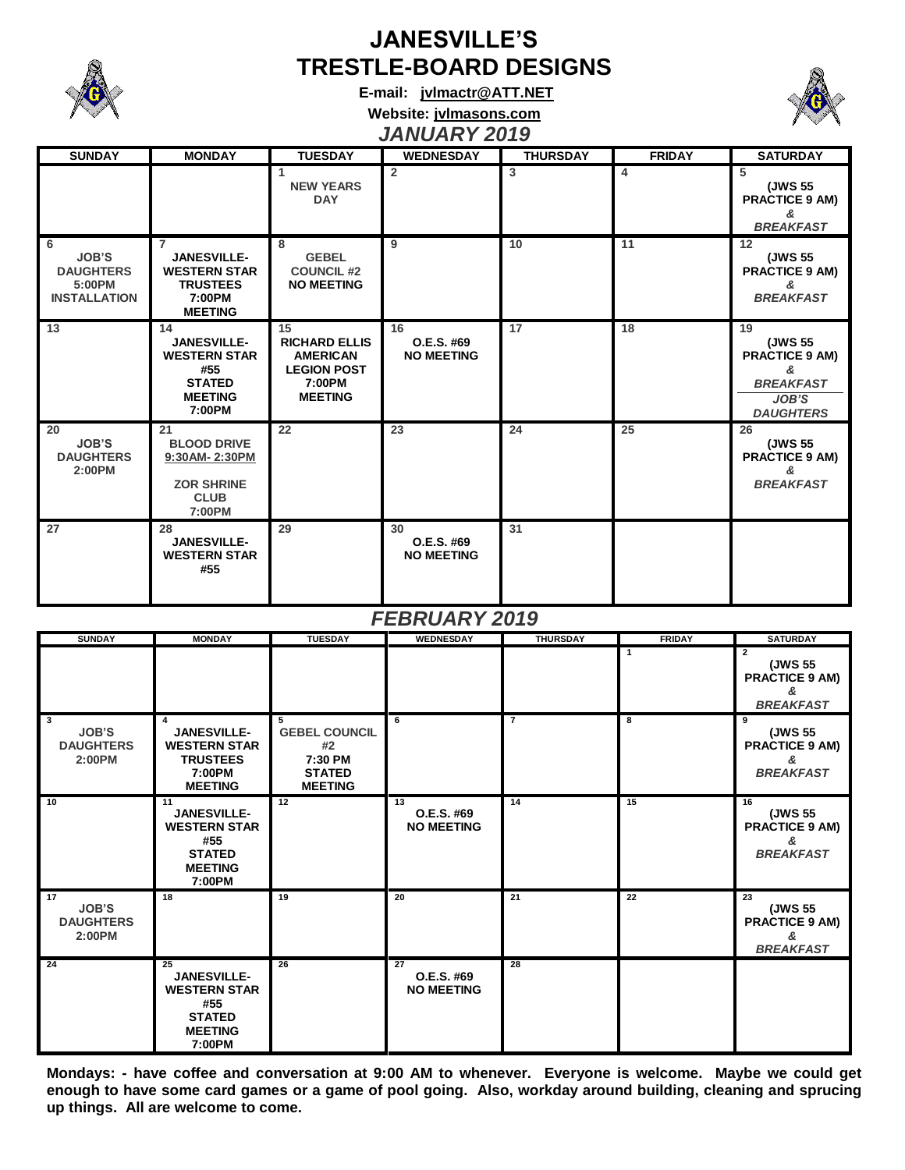

## **JANESVILLE'S TRESTLE-BOARD DESIGNS**

**E-mail: [jvlmactr@ATT.NET](mailto:jvlmactr@ATT.NET)**



**Website: jvlmasons.com** *JANUARY 2019*

| <b>SUNDAY</b>                                                          | <b>MONDAY</b>                                                                                              | <b>TUESDAY</b>                                                                                  | <b>WEDNESDAY</b>                      | <b>THURSDAY</b> | <b>FRIDAY</b>   | <b>SATURDAY</b>                                                                              |
|------------------------------------------------------------------------|------------------------------------------------------------------------------------------------------------|-------------------------------------------------------------------------------------------------|---------------------------------------|-----------------|-----------------|----------------------------------------------------------------------------------------------|
|                                                                        |                                                                                                            | 1<br><b>NEW YEARS</b><br><b>DAY</b>                                                             | $\overline{2}$                        | 3               | $\overline{4}$  | 5<br>(JWS 55<br><b>PRACTICE 9 AM)</b><br>&<br><b>BREAKFAST</b>                               |
| 6<br><b>JOB'S</b><br><b>DAUGHTERS</b><br>5:00PM<br><b>INSTALLATION</b> | $\overline{7}$<br><b>JANESVILLE-</b><br><b>WESTERN STAR</b><br><b>TRUSTEES</b><br>7:00PM<br><b>MEETING</b> | 8<br><b>GEBEL</b><br><b>COUNCIL #2</b><br><b>NO MEETING</b>                                     | 9                                     | 10              | 11              | $12 \overline{ }$<br>(JWS 55<br><b>PRACTICE 9 AM)</b><br>&<br><b>BREAKFAST</b>               |
| 13                                                                     | 14<br><b>JANESVILLE-</b><br><b>WESTERN STAR</b><br>#55<br><b>STATED</b><br><b>MEETING</b><br>7:00PM        | 15<br><b>RICHARD ELLIS</b><br><b>AMERICAN</b><br><b>LEGION POST</b><br>7:00PM<br><b>MEETING</b> | 16<br>O.E.S. #69<br><b>NO MEETING</b> | 17              | 18              | 19<br>(JWS 55<br><b>PRACTICE 9 AM)</b><br>&<br><b>BREAKFAST</b><br>JOB'S<br><b>DAUGHTERS</b> |
| 20<br><b>JOB'S</b><br><b>DAUGHTERS</b><br>2:00PM                       | 21<br><b>BLOOD DRIVE</b><br>9:30AM-2:30PM<br><b>ZOR SHRINE</b><br><b>CLUB</b><br>7:00PM                    | 22                                                                                              | 23                                    | 24              | 25              | 26<br>(JWS 55<br><b>PRACTICE 9 AM)</b><br>&<br><b>BREAKFAST</b>                              |
| 27                                                                     | 28<br><b>JANESVILLE-</b><br><b>WESTERN STAR</b><br>#55                                                     | 29                                                                                              | 30<br>O.E.S. #69<br><b>NO MEETING</b> | 31              |                 |                                                                                              |
|                                                                        |                                                                                                            |                                                                                                 |                                       |                 |                 |                                                                                              |
|                                                                        |                                                                                                            |                                                                                                 | <b>FEBRUARY 2019</b>                  |                 |                 |                                                                                              |
| <b>SUNDAY</b>                                                          | <b>MONDAY</b>                                                                                              | <b>TUESDAY</b>                                                                                  | <b>WEDNESDAY</b>                      | <b>THURSDAY</b> | <b>FRIDAY</b>   | <b>SATURDAY</b>                                                                              |
|                                                                        |                                                                                                            |                                                                                                 |                                       |                 | $\mathbf{1}$    | $\overline{2}$<br>(JWS 55<br><b>PRACTICE 9 AM)</b><br>&<br><b>BREAKFAST</b>                  |
| 3<br><b>JOB'S</b><br><b>DAUGHTERS</b><br>2:00PM                        | 4<br><b>JANESVILLE-</b><br><b>WESTERN STAR</b><br><b>TRUSTEES</b><br>7:00PM<br><b>MEETING</b>              | 5<br><b>GEBEL COUNCIL</b><br>#2<br>7:30 PM<br><b>STATED</b><br><b>MEETING</b>                   | 6                                     | $\overline{7}$  | 8               | 9<br>(JWS 55<br><b>PRACTICE 9 AM)</b><br>&<br><b>BREAKFAST</b>                               |
| 10                                                                     | 11<br>JANESVILLE-<br><b>WESTERN STAR</b><br>#55<br><b>STATED</b><br><b>MEETING</b><br>7:00PM               | 12                                                                                              | 13<br>O.E.S. #69<br><b>NO MEETING</b> | 14              | 15              | 16<br>(JWS 55<br><b>PRACTICE 9 AM)</b><br>&<br><b>BREAKFAST</b>                              |
| 17<br><b>JOB'S</b><br><b>DAUGHTERS</b><br>2:00PM                       | 18                                                                                                         | 19                                                                                              | 20                                    | 21              | $\overline{22}$ | 23<br>(JWS 55<br><b>PRACTICE 9 AM)</b><br>&<br><b>BREAKFAST</b>                              |

**Mondays: - have coffee and conversation at 9:00 AM to whenever. Everyone is welcome. Maybe we could get enough to have some card games or a game of pool going. Also, workday around building, cleaning and sprucing up things. All are welcome to come.**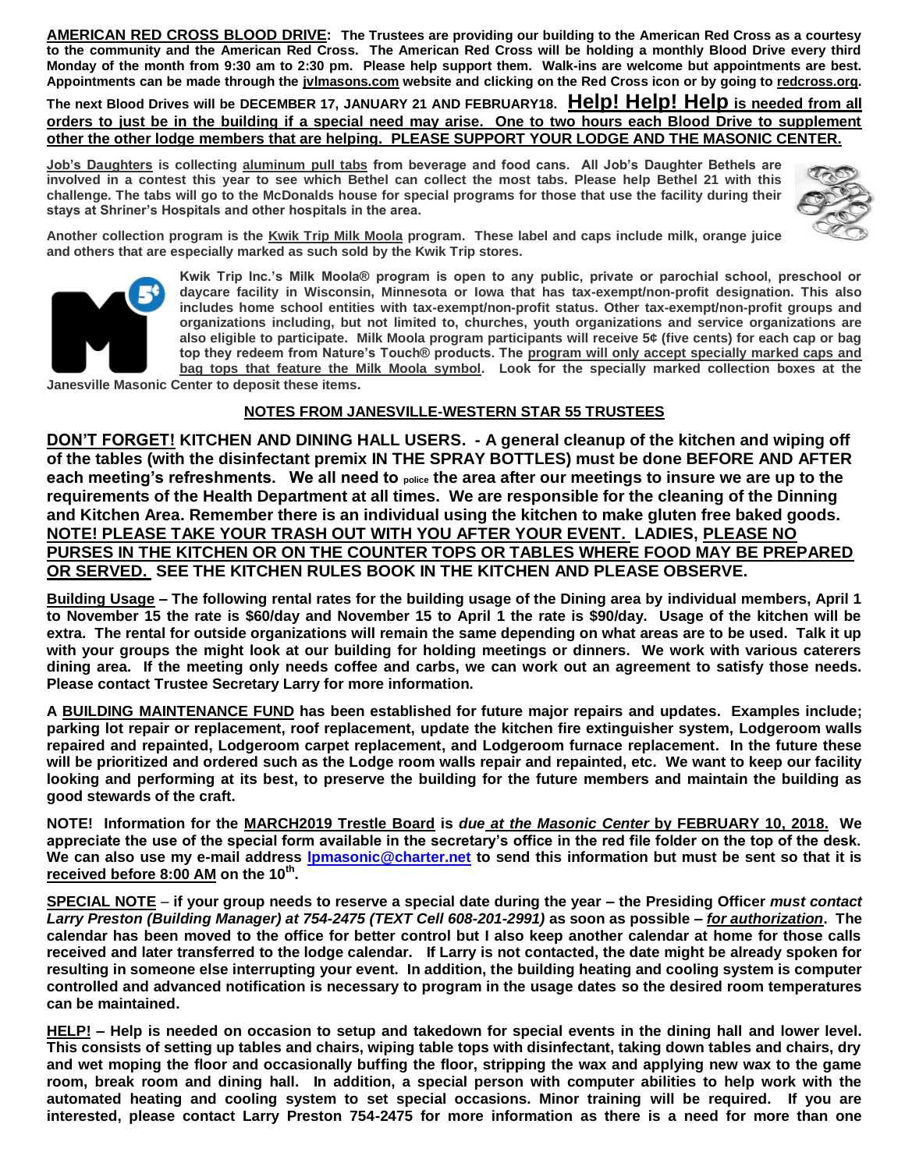**AMERICAN RED CROSS BLOOD DRIVE: The Trustees are providing our building to the American Red Cross as a courtesy to the community and the American Red Cross. The American Red Cross will be holding a monthly Blood Drive every third Monday of the month from 9:30 am to 2:30 pm. Please help support them. Walk-ins are welcome but appointments are best. Appointments can be made through the jvlmasons.com website and clicking on the Red Cross icon or by going to redcross.org.** 

**The next Blood Drives will be DECEMBER 17, JANUARY 21 AND FEBRUARY18. Help! Help! Help is needed from all orders to just be in the building if a special need may arise. One to two hours each Blood Drive to supplement other the other lodge members that are helping. PLEASE SUPPORT YOUR LODGE AND THE MASONIC CENTER.**

**Job's Daughters is collecting aluminum pull tabs from beverage and food cans. All Job's Daughter Bethels are involved in a contest this year to see which Bethel can collect the most tabs. Please help Bethel 21 with this challenge. The tabs will go to the McDonalds house for special programs for those that use the facility during their stays at Shriner's Hospitals and other hospitals in the area.**



**Another collection program is the Kwik Trip Milk Moola program. These label and caps include milk, orange juice and others that are especially marked as such sold by the Kwik Trip stores.** 



**Kwik Trip Inc.'s Milk Moola® program is open to any public, private or parochial school, preschool or daycare facility in Wisconsin, Minnesota or Iowa that has tax-exempt/non-profit designation. This also includes home school entities with tax-exempt/non-profit status. Other tax-exempt/non-profit groups and organizations including, but not limited to, churches, youth organizations and service organizations are also eligible to participate. Milk Moola program participants will receive 5¢ (five cents) for each cap or bag top they redeem from Nature's Touch® products. The program will only accept specially marked caps and bag tops that feature the Milk Moola symbol. Look for the specially marked collection boxes at the**

**Janesville Masonic Center to deposit these items.**

## **NOTES FROM JANESVILLE-WESTERN STAR 55 TRUSTEES**

**DON'T FORGET! KITCHEN AND DINING HALL USERS. - A general cleanup of the kitchen and wiping off of the tables (with the disinfectant premix IN THE SPRAY BOTTLES) must be done BEFORE AND AFTER each meeting's refreshments. We all need to police the area after our meetings to insure we are up to the requirements of the Health Department at all times. We are responsible for the cleaning of the Dinning and Kitchen Area. Remember there is an individual using the kitchen to make gluten free baked goods. NOTE! PLEASE TAKE YOUR TRASH OUT WITH YOU AFTER YOUR EVENT. LADIES, PLEASE NO PURSES IN THE KITCHEN OR ON THE COUNTER TOPS OR TABLES WHERE FOOD MAY BE PREPARED OR SERVED. SEE THE KITCHEN RULES BOOK IN THE KITCHEN AND PLEASE OBSERVE.**

**Building Usage – The following rental rates for the building usage of the Dining area by individual members, April 1 to November 15 the rate is \$60/day and November 15 to April 1 the rate is \$90/day. Usage of the kitchen will be extra. The rental for outside organizations will remain the same depending on what areas are to be used. Talk it up with your groups the might look at our building for holding meetings or dinners. We work with various caterers dining area. If the meeting only needs coffee and carbs, we can work out an agreement to satisfy those needs. Please contact Trustee Secretary Larry for more information.** 

**A BUILDING MAINTENANCE FUND has been established for future major repairs and updates. Examples include; parking lot repair or replacement, roof replacement, update the kitchen fire extinguisher system, Lodgeroom walls repaired and repainted, Lodgeroom carpet replacement, and Lodgeroom furnace replacement. In the future these will be prioritized and ordered such as the Lodge room walls repair and repainted, etc. We want to keep our facility looking and performing at its best, to preserve the building for the future members and maintain the building as good stewards of the craft.**

**NOTE! Information for the MARCH2019 Trestle Board is** *due at the Masonic Center* **by FEBRUARY 10, 2018. We appreciate the use of the special form available in the secretary's office in the red file folder on the top of the desk. We can also use my e-mail address [lpmasonic@charter.net](file:///C:/Western%20Star%20Lodge/Trestleboard/lpmasonic@charter.net) to send this information but must be sent so that it is received before 8:00 AM on the 10 th .** 

**SPECIAL NOTE** – **if your group needs to reserve a special date during the year – the Presiding Officer** *must contact Larry Preston (Building Manager) at 754-2475 (TEXT Cell 608-201-2991)* **as soon as possible –** *for authorization***. The calendar has been moved to the office for better control but I also keep another calendar at home for those calls received and later transferred to the lodge calendar. If Larry is not contacted, the date might be already spoken for resulting in someone else interrupting your event. In addition, the building heating and cooling system is computer controlled and advanced notification is necessary to program in the usage dates so the desired room temperatures can be maintained.**

**HELP! – Help is needed on occasion to setup and takedown for special events in the dining hall and lower level. This consists of setting up tables and chairs, wiping table tops with disinfectant, taking down tables and chairs, dry and wet moping the floor and occasionally buffing the floor, stripping the wax and applying new wax to the game room, break room and dining hall. In addition, a special person with computer abilities to help work with the automated heating and cooling system to set special occasions. Minor training will be required. If you are interested, please contact Larry Preston 754-2475 for more information as there is a need for more than one**